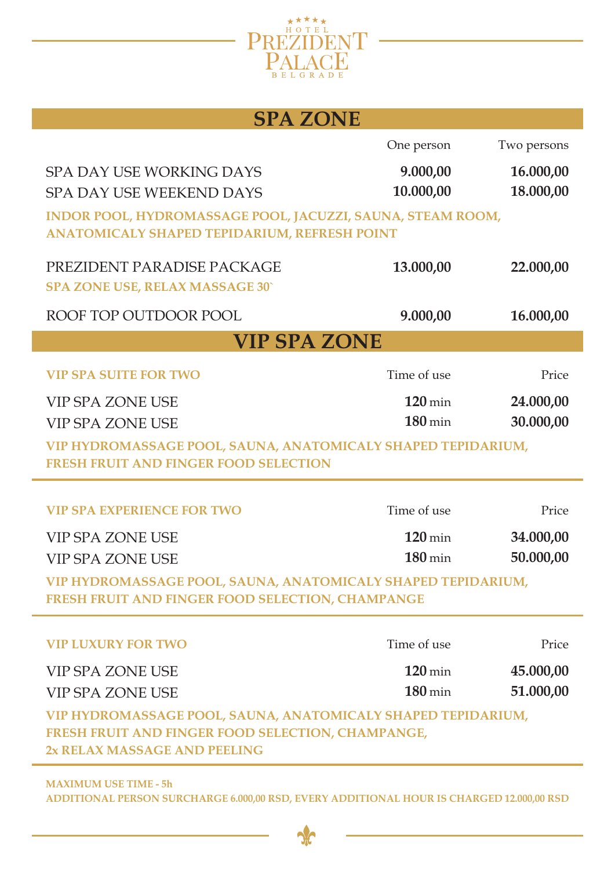

## **SPA ZONE**

|                                                                                                                   | One person           | Two persons |  |  |
|-------------------------------------------------------------------------------------------------------------------|----------------------|-------------|--|--|
| <b>SPA DAY USE WORKING DAYS</b>                                                                                   | 9.000,00             | 16.000,00   |  |  |
| SPA DAY USE WEEKEND DAYS                                                                                          | 10.000,00            | 18.000,00   |  |  |
| INDOR POOL, HYDROMASSAGE POOL, JACUZZI, SAUNA, STEAM ROOM,                                                        |                      |             |  |  |
| ANATOMICALY SHAPED TEPIDARIUM, REFRESH POINT                                                                      |                      |             |  |  |
| PREZIDENT PARADISE PACKAGE                                                                                        | 13.000,00            | 22.000,00   |  |  |
| <b>SPA ZONE USE, RELAX MASSAGE 30`</b>                                                                            |                      |             |  |  |
| ROOF TOP OUTDOOR POOL                                                                                             | 9.000,00             | 16.000,00   |  |  |
| <b>VIP SPA ZONE</b>                                                                                               |                      |             |  |  |
| <b>VIP SPA SUITE FOR TWO</b>                                                                                      | Time of use          | Price       |  |  |
| <b>VIP SPA ZONE USE</b>                                                                                           | $120 \,\mathrm{min}$ | 24.000,00   |  |  |
| <b>VIP SPA ZONE USE</b>                                                                                           | $180 \,\mathrm{min}$ | 30.000,00   |  |  |
| VIP HYDROMASSAGE POOL, SAUNA, ANATOMICALY SHAPED TEPIDARIUM,                                                      |                      |             |  |  |
| <b>FRESH FRUIT AND FINGER FOOD SELECTION</b>                                                                      |                      |             |  |  |
| <b>VIP SPA EXPERIENCE FOR TWO</b>                                                                                 | Time of use          | Price       |  |  |
| <b>VIP SPA ZONE USE</b>                                                                                           | $120 \,\mathrm{min}$ | 34.000,00   |  |  |
| <b>VIP SPA ZONE USE</b>                                                                                           | $180 \,\mathrm{min}$ | 50.000,00   |  |  |
| VIP HYDROMASSAGE POOL, SAUNA, ANATOMICALY SHAPED TEPIDARIUM,                                                      |                      |             |  |  |
| <b>FRESH FRUIT AND FINGER FOOD SELECTION, CHAMPANGE</b>                                                           |                      |             |  |  |
|                                                                                                                   |                      |             |  |  |
| <b>VIP LUXURY FOR TWO</b>                                                                                         | Time of use          | Price       |  |  |
| <b>VIP SPA ZONE USE</b>                                                                                           | $120 \,\mathrm{min}$ | 45.000,00   |  |  |
| <b>VIP SPA ZONE USE</b>                                                                                           | $180 \,\mathrm{min}$ | 51.000,00   |  |  |
| VIP HYDROMASSAGE POOL, SAUNA, ANATOMICALY SHAPED TEPIDARIUM,<br>FRESH FRUIT AND FINGER FOOD SELECTION, CHAMPANGE, |                      |             |  |  |
| 2x RELAX MASSAGE AND PEELING                                                                                      |                      |             |  |  |
|                                                                                                                   |                      |             |  |  |

**MAXIMUM USE TIME - 5h ADDITIONAL PERSON SURCHARGE 6.000,00 RSD, EVERY ADDITIONAL HOUR IS CHARGED 12.000,00 RSD**

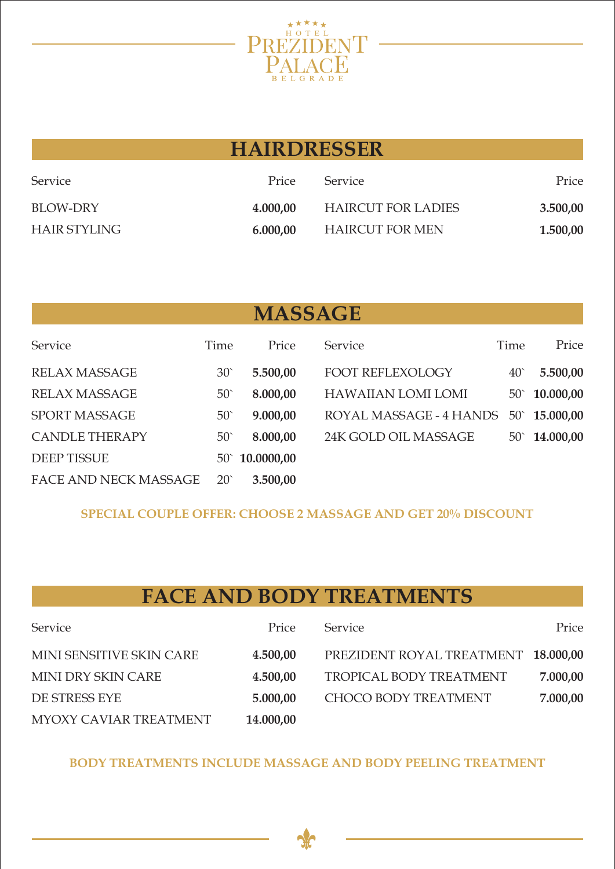

| HAINDNEDOEN         |          |                           |          |  |
|---------------------|----------|---------------------------|----------|--|
| Service             | Price    | <b>Service</b>            | Price    |  |
| BLOW-DRY            | 4.000,00 | <b>HAIRCUT FOR LADIES</b> | 3.500,00 |  |
| <b>HAIR STYLING</b> | 6.000,00 | HAIRCUT FOR MEN           | 1.500,00 |  |

**HAIRDRESSER**

# **MASSAGE**

| Service                      | Time            | Price                   | Service                   | Time         | Price                  |
|------------------------------|-----------------|-------------------------|---------------------------|--------------|------------------------|
| <b>RELAX MASSAGE</b>         | 30 <sup>°</sup> | 5.500,00                | FOOT REFLEXOLOGY          | $40^\circ$   | 5.500,00               |
| <b>RELAX MASSAGE</b>         | 50 <sup>°</sup> | 8.000,00                | <b>HAWAIIAN LOMI LOMI</b> |              | $50^{\circ}$ 10.000,00 |
| <b>SPORT MASSAGE</b>         | $50^{\circ}$    | 9.000,00                | ROYAL MASSAGE - 4 HANDS   | $50^{\circ}$ | 15.000,00              |
| <b>CANDLE THERAPY</b>        | 50 <sup>°</sup> | 8.000,00                | 24K GOLD OIL MASSAGE      |              | $50^{\circ}$ 14.000,00 |
| <b>DEEP TISSUE</b>           |                 | $50^{\circ}$ 10.0000,00 |                           |              |                        |
| <b>FACE AND NECK MASSAGE</b> | $20^{\circ}$    | 3.500,00                |                           |              |                        |

**SPECIAL COUPLE OFFER: CHOOSE 2 MASSAGE AND GET 20% DISCOUNT**

## **FACE AND BODY TREATMENTS**

| Service                  | Price     | Service                             | Price    |
|--------------------------|-----------|-------------------------------------|----------|
| MINI SENSITIVE SKIN CARE | 4.500,00  | PREZIDENT ROYAL TREATMENT 18.000,00 |          |
| MINI DRY SKIN CARE       | 4.500,00  | TROPICAL BODY TREATMENT             | 7.000,00 |
| DE STRESS EYE            | 5.000,00  | CHOCO BODY TREATMENT                | 7.000,00 |
| MYOXY CAVIAR TREATMENT   | 14.000,00 |                                     |          |

**BODY TREATMENTS INCLUDE MASSAGE AND BODY PEELING TREATMENT**